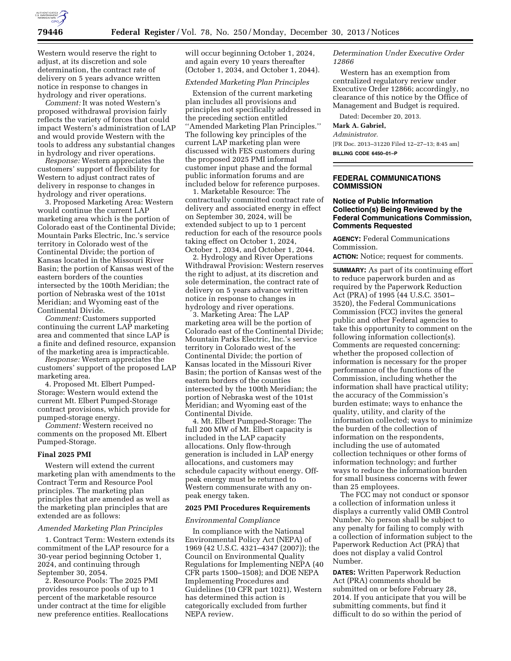

Western would reserve the right to adjust, at its discretion and sole determination, the contract rate of delivery on 5 years advance written notice in response to changes in hydrology and river operations.

*Comment:* It was noted Western's proposed withdrawal provision fairly reflects the variety of forces that could impact Western's administration of LAP and would provide Western with the tools to address any substantial changes in hydrology and river operations.

*Response:* Western appreciates the customers' support of flexibility for Western to adjust contract rates of delivery in response to changes in hydrology and river operations.

3. Proposed Marketing Area: Western would continue the current LAP marketing area which is the portion of Colorado east of the Continental Divide; Mountain Parks Electric, Inc.'s service territory in Colorado west of the Continental Divide; the portion of Kansas located in the Missouri River Basin; the portion of Kansas west of the eastern borders of the counties intersected by the 100th Meridian; the portion of Nebraska west of the 101st Meridian; and Wyoming east of the Continental Divide.

*Comment:* Customers supported continuing the current LAP marketing area and commented that since LAP is a finite and defined resource, expansion of the marketing area is impracticable.

*Response:* Western appreciates the customers' support of the proposed LAP marketing area.

4. Proposed Mt. Elbert Pumped-Storage: Western would extend the current Mt. Elbert Pumped-Storage contract provisions, which provide for pumped-storage energy.

*Comment:* Western received no comments on the proposed Mt. Elbert Pumped-Storage.

### **Final 2025 PMI**

Western will extend the current marketing plan with amendments to the Contract Term and Resource Pool principles. The marketing plan principles that are amended as well as the marketing plan principles that are extended are as follows:

#### *Amended Marketing Plan Principles*

1. Contract Term: Western extends its commitment of the LAP resource for a 30-year period beginning October 1, 2024, and continuing through September 30, 2054.

2. Resource Pools: The 2025 PMI provides resource pools of up to 1 percent of the marketable resource under contract at the time for eligible new preference entities. Reallocations will occur beginning October 1, 2024, and again every 10 years thereafter (October 1, 2034, and October 1, 2044).

#### *Extended Marketing Plan Principles*

Extension of the current marketing plan includes all provisions and principles not specifically addressed in the preceding section entitled ''Amended Marketing Plan Principles.'' The following key principles of the current LAP marketing plan were discussed with FES customers during the proposed 2025 PMI informal customer input phase and the formal public information forums and are included below for reference purposes.

1. Marketable Resource: The contractually committed contract rate of delivery and associated energy in effect on September 30, 2024, will be extended subject to up to 1 percent reduction for each of the resource pools taking effect on October 1, 2024, October 1, 2034, and October 1, 2044.

2. Hydrology and River Operations Withdrawal Provision: Western reserves the right to adjust, at its discretion and sole determination, the contract rate of delivery on 5 years advance written notice in response to changes in hydrology and river operations.

3. Marketing Area: The LAP marketing area will be the portion of Colorado east of the Continental Divide; Mountain Parks Electric, Inc.'s service territory in Colorado west of the Continental Divide; the portion of Kansas located in the Missouri River Basin; the portion of Kansas west of the eastern borders of the counties intersected by the 100th Meridian; the portion of Nebraska west of the 101st Meridian; and Wyoming east of the Continental Divide.

4. Mt. Elbert Pumped-Storage: The full 200 MW of Mt. Elbert capacity is included in the LAP capacity allocations. Only flow-through generation is included in LAP energy allocations, and customers may schedule capacity without energy. Offpeak energy must be returned to Western commensurate with any onpeak energy taken.

#### **2025 PMI Procedures Requirements**

#### *Environmental Compliance*

In compliance with the National Environmental Policy Act (NEPA) of 1969 (42 U.S.C. 4321–4347 (2007)); the Council on Environmental Quality Regulations for Implementing NEPA (40 CFR parts 1500–1508); and DOE NEPA Implementing Procedures and Guidelines (10 CFR part 1021), Western has determined this action is categorically excluded from further NEPA review.

*Determination Under Executive Order 12866* 

Western has an exemption from centralized regulatory review under Executive Order 12866; accordingly, no clearance of this notice by the Office of Management and Budget is required.

Dated: December 20, 2013.

# **Mark A. Gabriel,**

*Administrator.* 

[FR Doc. 2013–31220 Filed 12–27–13; 8:45 am] **BILLING CODE 6450–01–P** 

## **FEDERAL COMMUNICATIONS COMMISSION**

# **Notice of Public Information Collection(s) Being Reviewed by the Federal Communications Commission, Comments Requested**

**AGENCY:** Federal Communications Commission.

**ACTION:** Notice; request for comments.

**SUMMARY:** As part of its continuing effort to reduce paperwork burden and as required by the Paperwork Reduction Act (PRA) of 1995 (44 U.S.C. 3501– 3520), the Federal Communications Commission (FCC) invites the general public and other Federal agencies to take this opportunity to comment on the following information collection(s). Comments are requested concerning: whether the proposed collection of information is necessary for the proper performance of the functions of the Commission, including whether the information shall have practical utility; the accuracy of the Commission's burden estimate; ways to enhance the quality, utility, and clarity of the information collected; ways to minimize the burden of the collection of information on the respondents, including the use of automated collection techniques or other forms of information technology; and further ways to reduce the information burden for small business concerns with fewer than 25 employees.

The FCC may not conduct or sponsor a collection of information unless it displays a currently valid OMB Control Number. No person shall be subject to any penalty for failing to comply with a collection of information subject to the Paperwork Reduction Act (PRA) that does not display a valid Control Number.

**DATES:** Written Paperwork Reduction Act (PRA) comments should be submitted on or before February 28, 2014. If you anticipate that you will be submitting comments, but find it difficult to do so within the period of